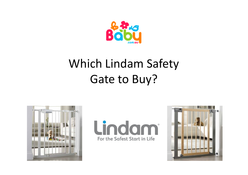

# Which Lindam Safety Gate to Buy?





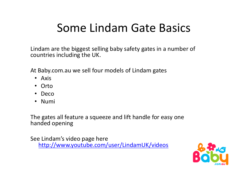# Some Lindam Gate Basics

Lindam are the biggest selling baby safety gates in a number of countries including the UK.

At Baby.com.au we sell four models of Lindam gates

- Axis
- Orto
- Deco
- Numi

The gates all feature a squeeze and lift handle for easy one handed opening

See Lindam's video page here http://www.youtube.com/user/LindamUK/videos

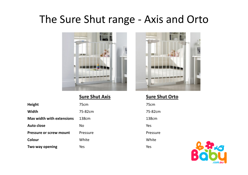#### The Sure Shut range - Axis and Orto



**Sure Shut Axis**

| <b>Height</b>                    | 75cm              | 75cm     |
|----------------------------------|-------------------|----------|
| <b>Width</b>                     | 75-82cm           | 75-82cm  |
| <b>Max width with extensions</b> | 138 <sub>cm</sub> | 138cm    |
| Auto close                       | <b>No</b>         | Yes      |
| <b>Pressure or screw mount</b>   | Pressure          | Pressure |
| Colour                           | White             | White    |
| Two way opening                  | Yes               | Yes      |



 **Sure Shut Orto**75-82cm

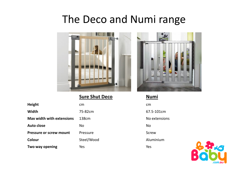#### The Deco and Numi range



**Sure Shut Deco**

| <b>Height</b>                    | cm                | cm            |
|----------------------------------|-------------------|---------------|
| Width                            | 75-82cm           | 67.5-101cm    |
| <b>Max width with extensions</b> | 138 <sub>cm</sub> | No extensions |
| <b>Auto close</b>                | <b>No</b>         | No            |
| <b>Pressure or screw mount</b>   | Pressure          | <b>Screw</b>  |
| Colour                           | Steel/Wood        | Aluminium     |
| Two way opening                  | Yes               | Yes           |



 **Numi** 67.5-101cm

.com.au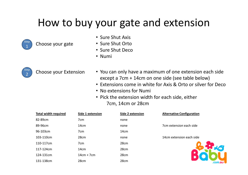### How to buy your gate and extension



Choose your gate

- Sure Shut Axis
- Sure Shut Orto
- Sure Shut Deco
- Numi



- Choose your Extension You can only have a maximum of one extension each side except a 7cm + 14cm on one side (see table below)
	- Extensions come in white for Axis & Orto or silver for Deco
	- No extensions for Numi
	- Pick the extension width for each side, either 7cm, 14cm or 28cm

| <b>Total width required</b> | Side 1 extension | Side 2 extension | <b>Alternative Configuration</b> |
|-----------------------------|------------------|------------------|----------------------------------|
| 82-89cm                     | 7 <sub>cm</sub>  | none             |                                  |
| 89-96cm                     | 14 <sub>cm</sub> | none             | 7cm extension each side          |
| 96-103cm                    | 7 <sub>cm</sub>  | 14 <sub>cm</sub> |                                  |
| 103-110cm                   | 28cm             | none             | 14cm extension each side         |
| 110-117cm                   | 7 <sub>cm</sub>  | 28cm             |                                  |
| 117-124cm                   | 14 <sub>cm</sub> | 28 <sub>cm</sub> |                                  |
| 124-131cm                   | $14cm + 7cm$     | 28cm             |                                  |
| 131-138cm                   | 28cm             | 28cm             | .com.Ql                          |